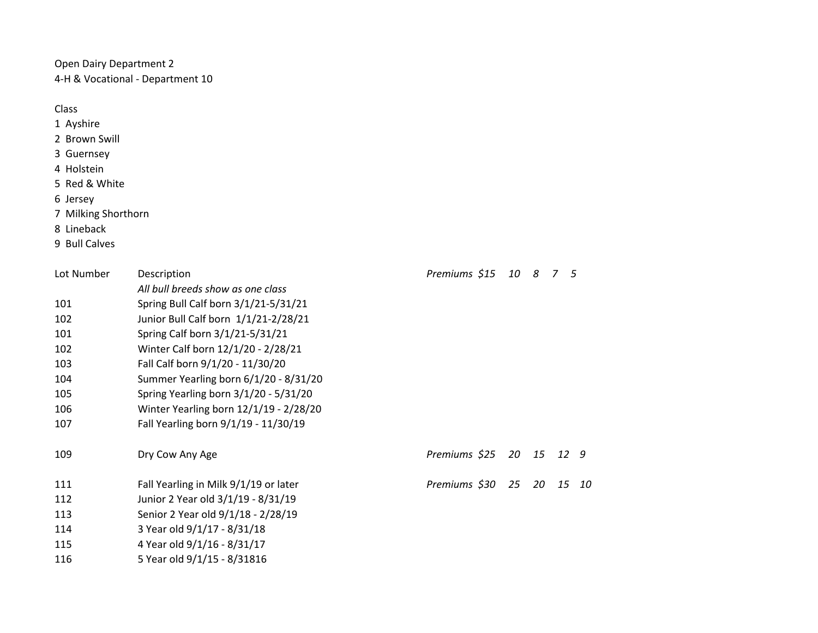Open Dairy Department 2 4-H & Vocational - Department 10

Class

- 1 Ayshire
- 2 Brown Swill
- 3 Guernsey
- 4 Holstein
- 5 Red & White

6 Jersey

- 7 Milking Shorthorn
- 8 Lineback
- 9 Bull Calves

| Lot Number | Description                            | Premiums \$15 10 8 7 5 |    |    |      |    |
|------------|----------------------------------------|------------------------|----|----|------|----|
|            | All bull breeds show as one class      |                        |    |    |      |    |
| 101        | Spring Bull Calf born 3/1/21-5/31/21   |                        |    |    |      |    |
| 102        | Junior Bull Calf born 1/1/21-2/28/21   |                        |    |    |      |    |
| 101        | Spring Calf born 3/1/21-5/31/21        |                        |    |    |      |    |
| 102        | Winter Calf born 12/1/20 - 2/28/21     |                        |    |    |      |    |
| 103        | Fall Calf born 9/1/20 - 11/30/20       |                        |    |    |      |    |
| 104        | Summer Yearling born 6/1/20 - 8/31/20  |                        |    |    |      |    |
| 105        | Spring Yearling born 3/1/20 - 5/31/20  |                        |    |    |      |    |
| 106        | Winter Yearling born 12/1/19 - 2/28/20 |                        |    |    |      |    |
| 107        | Fall Yearling born 9/1/19 - 11/30/19   |                        |    |    |      |    |
| 109        | Dry Cow Any Age                        | Premiums \$25 20 15    |    |    | 12 9 |    |
| 111        | Fall Yearling in Milk 9/1/19 or later  | Premiums \$30          | 25 | 20 | 15   | 10 |
| 112        | Junior 2 Year old 3/1/19 - 8/31/19     |                        |    |    |      |    |
| 113        | Senior 2 Year old 9/1/18 - 2/28/19     |                        |    |    |      |    |
| 114        | 3 Year old 9/1/17 - 8/31/18            |                        |    |    |      |    |
| 115        | 4 Year old 9/1/16 - 8/31/17            |                        |    |    |      |    |
| 116        | 5 Year old 9/1/15 - 8/31816            |                        |    |    |      |    |